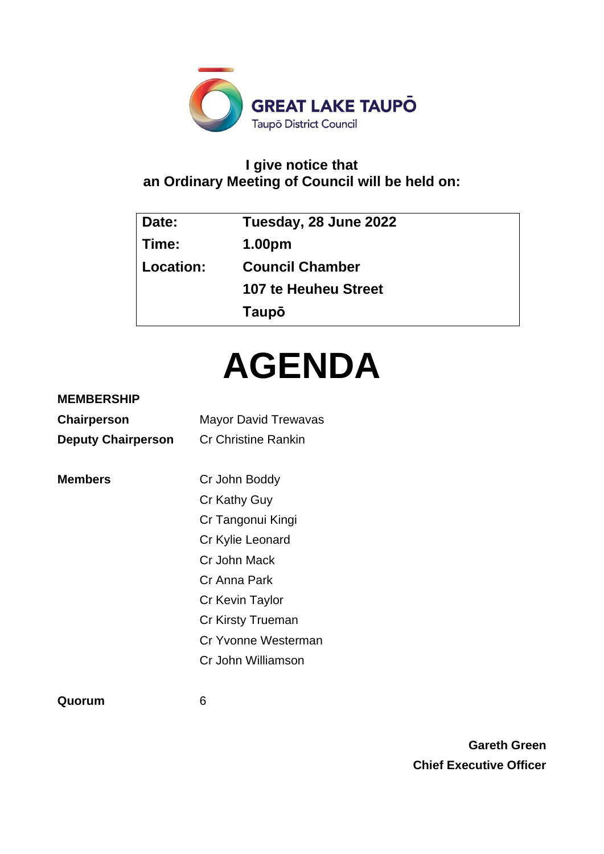

# **I give notice that an Ordinary Meeting of Council will be held on:**

| Date:     | Tuesday, 28 June 2022       |  |
|-----------|-----------------------------|--|
| Time:     | 1.00pm                      |  |
| Location: | <b>Council Chamber</b>      |  |
|           | <b>107 te Heuheu Street</b> |  |
|           | Taupō                       |  |

# **AGENDA**

## **MEMBERSHIP**

| Chairperson               | <b>Mayor David Trewavas</b> |  |  |
|---------------------------|-----------------------------|--|--|
| <b>Deputy Chairperson</b> | <b>Cr Christine Rankin</b>  |  |  |
|                           |                             |  |  |
| <b>Members</b>            | Cr John Boddy               |  |  |
|                           | Cr Kathy Guy                |  |  |
|                           | Cr Tangonui Kingi           |  |  |
|                           | Cr Kylie Leonard            |  |  |
|                           | Cr John Mack                |  |  |
|                           | Cr Anna Park                |  |  |
|                           | Cr Kevin Taylor             |  |  |
|                           | Cr Kirsty Trueman           |  |  |
|                           | Cr Yvonne Westerman         |  |  |
|                           | Cr John Williamson          |  |  |
|                           |                             |  |  |

**Quorum** 6

**Gareth Green Chief Executive Officer**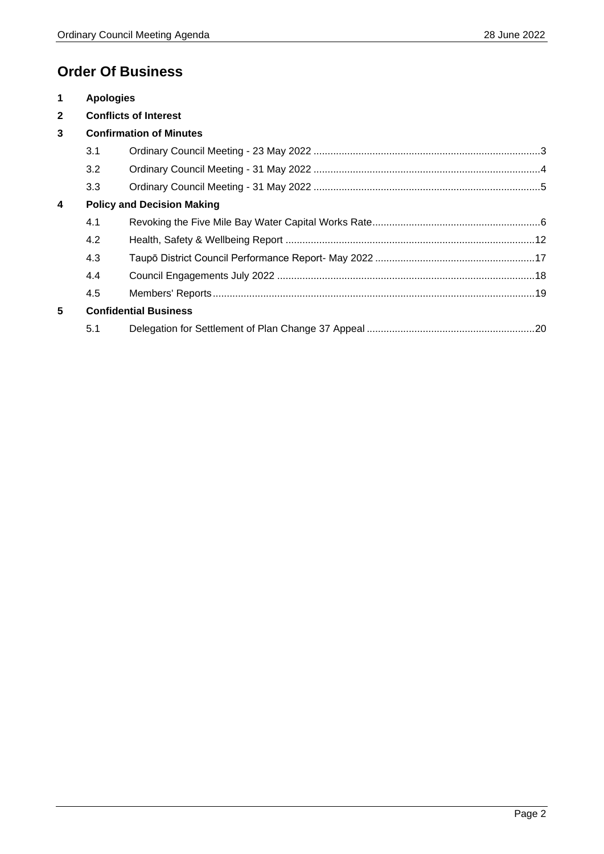# **Order Of Business**

| $\mathbf 1$             | <b>Apologies</b>                  |  |  |
|-------------------------|-----------------------------------|--|--|
| $\mathbf{2}$            | <b>Conflicts of Interest</b>      |  |  |
| 3                       | <b>Confirmation of Minutes</b>    |  |  |
|                         | 3.1                               |  |  |
|                         | 3.2                               |  |  |
|                         | 3.3                               |  |  |
| $\overline{\mathbf{4}}$ | <b>Policy and Decision Making</b> |  |  |
|                         | 4.1                               |  |  |
|                         | 4.2                               |  |  |
|                         | 4.3                               |  |  |
|                         | 4.4                               |  |  |
|                         | 4.5                               |  |  |
| 5                       | <b>Confidential Business</b>      |  |  |
|                         | 5.1                               |  |  |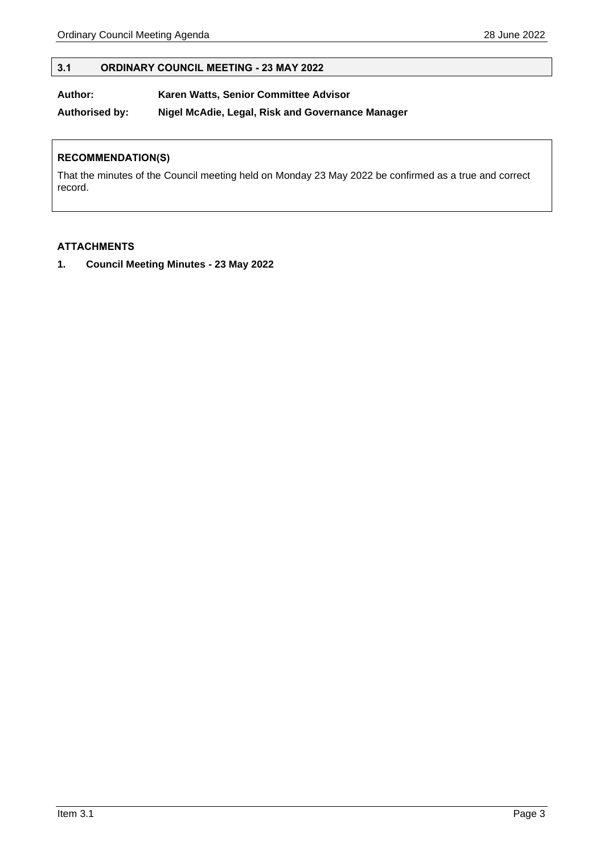#### <span id="page-2-0"></span>**3.1 ORDINARY COUNCIL MEETING - 23 MAY 2022**

**Author: Karen Watts, Senior Committee Advisor**

**Authorised by: Nigel McAdie, Legal, Risk and Governance Manager**

#### **RECOMMENDATION(S)**

That the minutes of the Council meeting held on Monday 23 May 2022 be confirmed as a true and correct record.

#### **ATTACHMENTS**

**1. Council Meeting Minutes - 23 May 2022**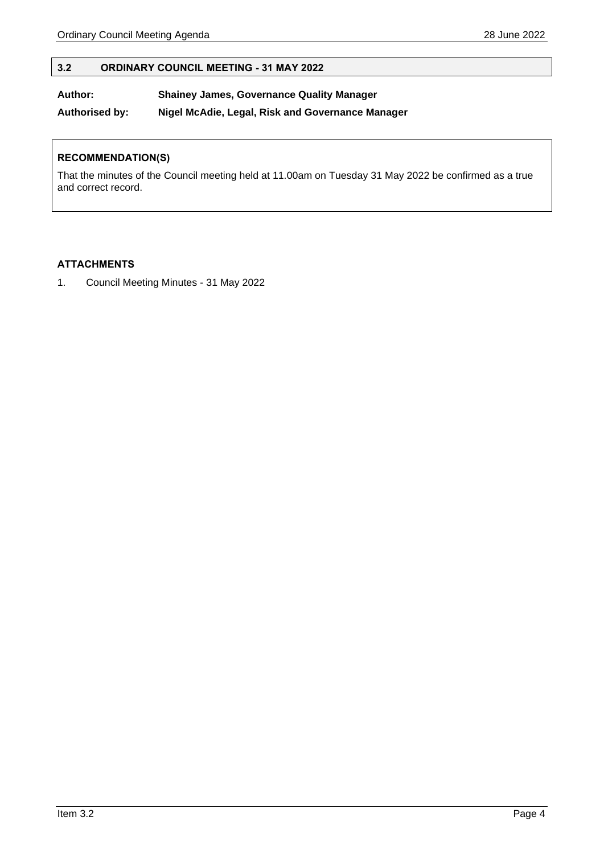#### <span id="page-3-0"></span>**3.2 ORDINARY COUNCIL MEETING - 31 MAY 2022**

#### **Author: Shainey James, Governance Quality Manager**

**Authorised by: Nigel McAdie, Legal, Risk and Governance Manager**

#### **RECOMMENDATION(S)**

That the minutes of the Council meeting held at 11.00am on Tuesday 31 May 2022 be confirmed as a true and correct record.

#### **ATTACHMENTS**

1. Council Meeting Minutes - 31 May 2022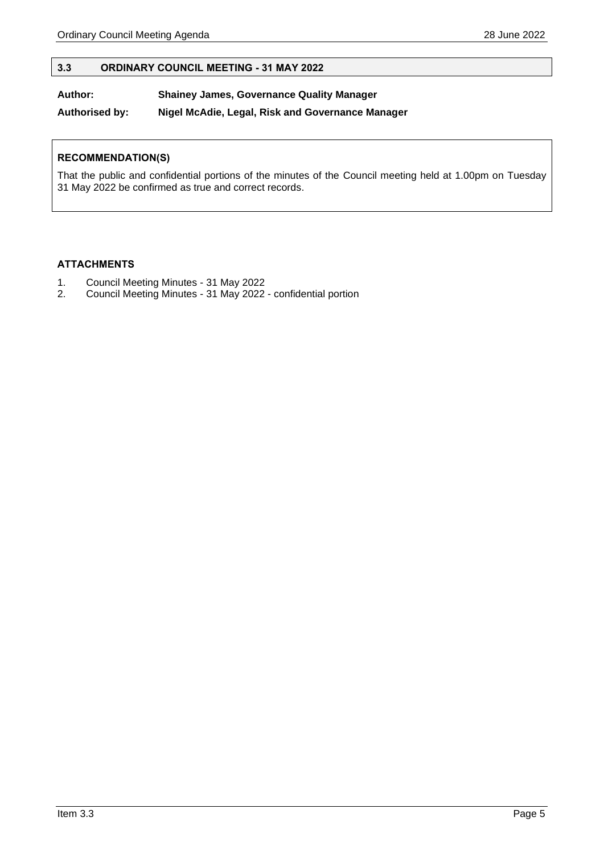#### <span id="page-4-0"></span>**3.3 ORDINARY COUNCIL MEETING - 31 MAY 2022**

#### **Author: Shainey James, Governance Quality Manager**

**Authorised by: Nigel McAdie, Legal, Risk and Governance Manager**

#### **RECOMMENDATION(S)**

That the public and confidential portions of the minutes of the Council meeting held at 1.00pm on Tuesday 31 May 2022 be confirmed as true and correct records.

#### **ATTACHMENTS**

- 1. Council Meeting Minutes 31 May 2022
- 2. Council Meeting Minutes 31 May 2022 confidential portion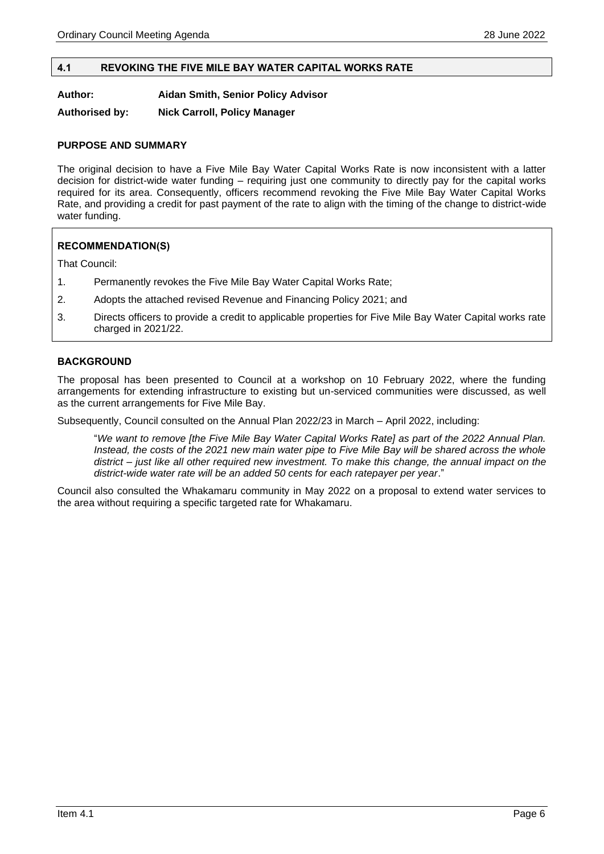#### <span id="page-5-0"></span>**4.1 REVOKING THE FIVE MILE BAY WATER CAPITAL WORKS RATE**

**Author: Aidan Smith, Senior Policy Advisor**

**Authorised by: Nick Carroll, Policy Manager**

#### **PURPOSE AND SUMMARY**

The original decision to have a Five Mile Bay Water Capital Works Rate is now inconsistent with a latter decision for district-wide water funding – requiring just one community to directly pay for the capital works required for its area. Consequently, officers recommend revoking the Five Mile Bay Water Capital Works Rate, and providing a credit for past payment of the rate to align with the timing of the change to district-wide water funding.

#### **RECOMMENDATION(S)**

That Council:

- 1. Permanently revokes the Five Mile Bay Water Capital Works Rate;
- 2. Adopts the attached revised Revenue and Financing Policy 2021; and
- 3. Directs officers to provide a credit to applicable properties for Five Mile Bay Water Capital works rate charged in 2021/22.

#### **BACKGROUND**

The proposal has been presented to Council at a workshop on 10 February 2022, where the funding arrangements for extending infrastructure to existing but un-serviced communities were discussed, as well as the current arrangements for Five Mile Bay.

Subsequently, Council consulted on the Annual Plan 2022/23 in March – April 2022, including:

"*We want to remove [the Five Mile Bay Water Capital Works Rate] as part of the 2022 Annual Plan. Instead, the costs of the 2021 new main water pipe to Five Mile Bay will be shared across the whole district – just like all other required new investment. To make this change, the annual impact on the district-wide water rate will be an added 50 cents for each ratepayer per year*."

Council also consulted the Whakamaru community in May 2022 on a proposal to extend water services to the area without requiring a specific targeted rate for Whakamaru.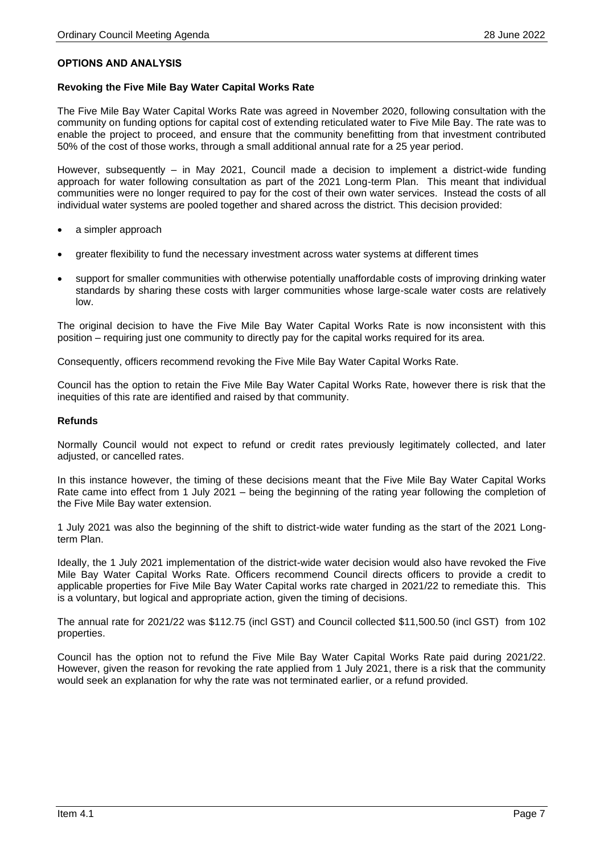#### **OPTIONS AND ANALYSIS**

#### **Revoking the Five Mile Bay Water Capital Works Rate**

The Five Mile Bay Water Capital Works Rate was agreed in November 2020, following consultation with the community on funding options for capital cost of extending reticulated water to Five Mile Bay. The rate was to enable the project to proceed, and ensure that the community benefitting from that investment contributed 50% of the cost of those works, through a small additional annual rate for a 25 year period.

However, subsequently – in May 2021, Council made a decision to implement a district-wide funding approach for water following consultation as part of the 2021 Long-term Plan. This meant that individual communities were no longer required to pay for the cost of their own water services. Instead the costs of all individual water systems are pooled together and shared across the district. This decision provided:

- a simpler approach
- greater flexibility to fund the necessary investment across water systems at different times
- support for smaller communities with otherwise potentially unaffordable costs of improving drinking water standards by sharing these costs with larger communities whose large-scale water costs are relatively low.

The original decision to have the Five Mile Bay Water Capital Works Rate is now inconsistent with this position – requiring just one community to directly pay for the capital works required for its area.

Consequently, officers recommend revoking the Five Mile Bay Water Capital Works Rate.

Council has the option to retain the Five Mile Bay Water Capital Works Rate, however there is risk that the inequities of this rate are identified and raised by that community.

#### **Refunds**

Normally Council would not expect to refund or credit rates previously legitimately collected, and later adjusted, or cancelled rates.

In this instance however, the timing of these decisions meant that the Five Mile Bay Water Capital Works Rate came into effect from 1 July 2021 – being the beginning of the rating year following the completion of the Five Mile Bay water extension.

1 July 2021 was also the beginning of the shift to district-wide water funding as the start of the 2021 Longterm Plan.

Ideally, the 1 July 2021 implementation of the district-wide water decision would also have revoked the Five Mile Bay Water Capital Works Rate. Officers recommend Council directs officers to provide a credit to applicable properties for Five Mile Bay Water Capital works rate charged in 2021/22 to remediate this. This is a voluntary, but logical and appropriate action, given the timing of decisions.

The annual rate for 2021/22 was \$112.75 (incl GST) and Council collected \$11,500.50 (incl GST) from 102 properties.

Council has the option not to refund the Five Mile Bay Water Capital Works Rate paid during 2021/22. However, given the reason for revoking the rate applied from 1 July 2021, there is a risk that the community would seek an explanation for why the rate was not terminated earlier, or a refund provided.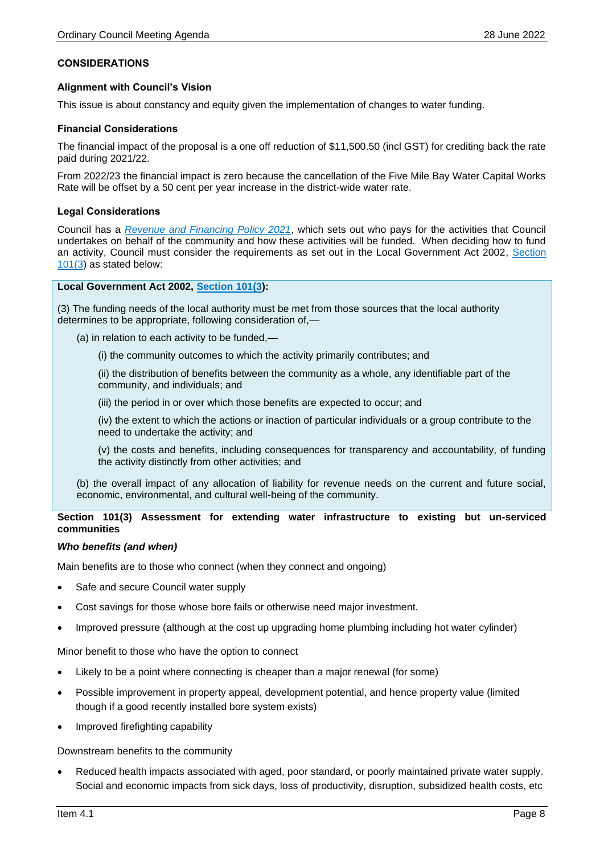#### **CONSIDERATIONS**

#### **Alignment with Council's Vision**

This issue is about constancy and equity given the implementation of changes to water funding.

#### **Financial Considerations**

The financial impact of the proposal is a one off reduction of \$11,500.50 (incl GST) for crediting back the rate paid during 2021/22.

From 2022/23 the financial impact is zero because the cancellation of the Five Mile Bay Water Capital Works Rate will be offset by a 50 cent per year increase in the district-wide water rate.

#### **Legal Considerations**

Council has a *[Revenue and Financing Policy 2021](https://www.taupodc.govt.nz/repository/libraries/id:25026fn3317q9slqygym/hierarchy/Council/Consultation/LTP%202021-2031/Policies%20fees%20and%20charges/Draft%20Revenue%20and%20Financing%20Policy%202021.pdf)*, which sets out who pays for the activities that Council undertakes on behalf of the community and how these activities will be funded. When deciding how to fund an activity, Council must consider the requirements as set out in the Local Government Act 2002, [Section](https://www.legislation.govt.nz/act/public/2002/0084/latest/DLM172358.html)  [101\(3\)](https://www.legislation.govt.nz/act/public/2002/0084/latest/DLM172358.html) as stated below:

#### **Local Government Act 2002, [Section 101\(3\)](https://www.legislation.govt.nz/act/public/2002/0084/latest/DLM172358.html):**

(3) The funding needs of the local authority must be met from those sources that the local authority determines to be appropriate, following consideration of,—

(a) in relation to each activity to be funded,—

(i) the community outcomes to which the activity primarily contributes; and

(ii) the distribution of benefits between the community as a whole, any identifiable part of the community, and individuals; and

(iii) the period in or over which those benefits are expected to occur; and

(iv) the extent to which the actions or inaction of particular individuals or a group contribute to the need to undertake the activity; and

(v) the costs and benefits, including consequences for transparency and accountability, of funding the activity distinctly from other activities; and

(b) the overall impact of any allocation of liability for revenue needs on the current and future social, economic, environmental, and cultural well-being of the community.

#### **Section 101(3) Assessment for extending water infrastructure to existing but un-serviced communities**

#### *Who benefits (and when)*

Main benefits are to those who connect (when they connect and ongoing)

- Safe and secure Council water supply
- Cost savings for those whose bore fails or otherwise need major investment.
- Improved pressure (although at the cost up upgrading home plumbing including hot water cylinder)

Minor benefit to those who have the option to connect

- Likely to be a point where connecting is cheaper than a major renewal (for some)
- Possible improvement in property appeal, development potential, and hence property value (limited though if a good recently installed bore system exists)
- Improved firefighting capability

Downstream benefits to the community

• Reduced health impacts associated with aged, poor standard, or poorly maintained private water supply. Social and economic impacts from sick days, loss of productivity, disruption, subsidized health costs, etc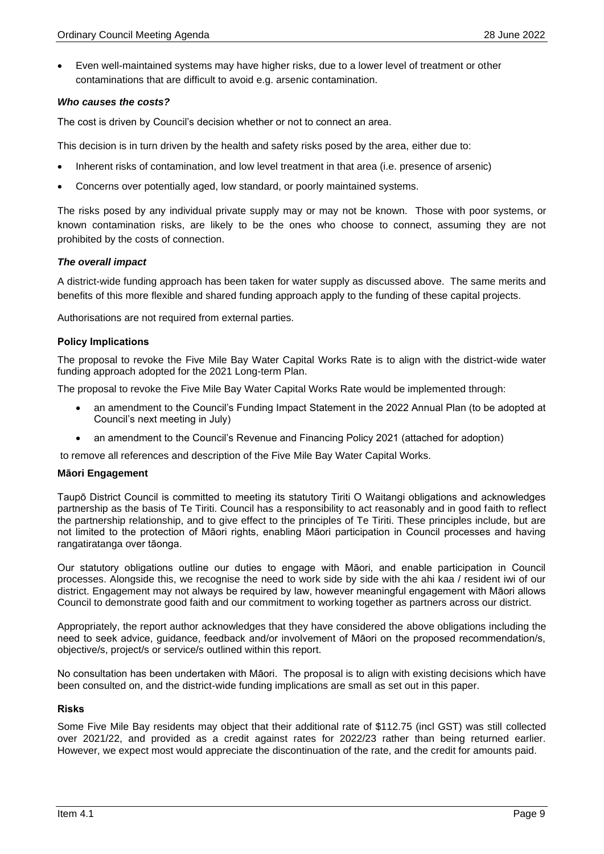• Even well-maintained systems may have higher risks, due to a lower level of treatment or other contaminations that are difficult to avoid e.g. arsenic contamination.

#### *Who causes the costs?*

The cost is driven by Council's decision whether or not to connect an area.

This decision is in turn driven by the health and safety risks posed by the area, either due to:

- Inherent risks of contamination, and low level treatment in that area (i.e. presence of arsenic)
- Concerns over potentially aged, low standard, or poorly maintained systems.

The risks posed by any individual private supply may or may not be known. Those with poor systems, or known contamination risks, are likely to be the ones who choose to connect, assuming they are not prohibited by the costs of connection.

#### *The overall impact*

A district-wide funding approach has been taken for water supply as discussed above. The same merits and benefits of this more flexible and shared funding approach apply to the funding of these capital projects.

Authorisations are not required from external parties.

#### **Policy Implications**

The proposal to revoke the Five Mile Bay Water Capital Works Rate is to align with the district-wide water funding approach adopted for the 2021 Long-term Plan.

The proposal to revoke the Five Mile Bay Water Capital Works Rate would be implemented through:

- an amendment to the Council's Funding Impact Statement in the 2022 Annual Plan (to be adopted at Council's next meeting in July)
- an amendment to the Council's Revenue and Financing Policy 2021 (attached for adoption)

to remove all references and description of the Five Mile Bay Water Capital Works.

#### **Māori Engagement**

Taupō District Council is committed to meeting its statutory Tiriti O Waitangi obligations and acknowledges partnership as the basis of Te Tiriti. Council has a responsibility to act reasonably and in good faith to reflect the partnership relationship, and to give effect to the principles of Te Tiriti. These principles include, but are not limited to the protection of Māori rights, enabling Māori participation in Council processes and having rangatiratanga over tāonga.

Our statutory obligations outline our duties to engage with Māori, and enable participation in Council processes. Alongside this, we recognise the need to work side by side with the ahi kaa / resident iwi of our district. Engagement may not always be required by law, however meaningful engagement with Māori allows Council to demonstrate good faith and our commitment to working together as partners across our district.

Appropriately, the report author acknowledges that they have considered the above obligations including the need to seek advice, guidance, feedback and/or involvement of Māori on the proposed recommendation/s, objective/s, project/s or service/s outlined within this report.

No consultation has been undertaken with Māori. The proposal is to align with existing decisions which have been consulted on, and the district-wide funding implications are small as set out in this paper.

#### **Risks**

Some Five Mile Bay residents may object that their additional rate of \$112.75 (incl GST) was still collected over 2021/22, and provided as a credit against rates for 2022/23 rather than being returned earlier. However, we expect most would appreciate the discontinuation of the rate, and the credit for amounts paid.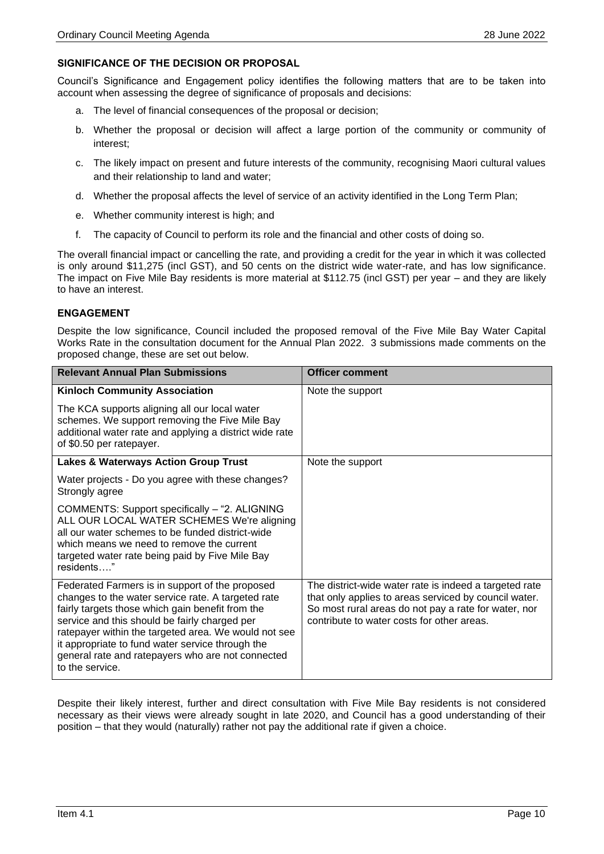#### **SIGNIFICANCE OF THE DECISION OR PROPOSAL**

Council's Significance and Engagement policy identifies the following matters that are to be taken into account when assessing the degree of significance of proposals and decisions:

- a. The level of financial consequences of the proposal or decision;
- b. Whether the proposal or decision will affect a large portion of the community or community of interest;
- c. The likely impact on present and future interests of the community, recognising Maori cultural values and their relationship to land and water;
- d. Whether the proposal affects the level of service of an activity identified in the Long Term Plan;
- e. Whether community interest is high; and
- f. The capacity of Council to perform its role and the financial and other costs of doing so.

The overall financial impact or cancelling the rate, and providing a credit for the year in which it was collected is only around \$11,275 (incl GST), and 50 cents on the district wide water-rate, and has low significance. The impact on Five Mile Bay residents is more material at \$112.75 (incl GST) per year – and they are likely to have an interest.

#### **ENGAGEMENT**

Despite the low significance, Council included the proposed removal of the Five Mile Bay Water Capital Works Rate in the consultation document for the Annual Plan 2022. 3 submissions made comments on the proposed change, these are set out below.

| <b>Relevant Annual Plan Submissions</b>                                                                                                                                                                                                                                                                                                                                                        | <b>Officer comment</b>                                                                                                                                                                                                |
|------------------------------------------------------------------------------------------------------------------------------------------------------------------------------------------------------------------------------------------------------------------------------------------------------------------------------------------------------------------------------------------------|-----------------------------------------------------------------------------------------------------------------------------------------------------------------------------------------------------------------------|
| <b>Kinloch Community Association</b>                                                                                                                                                                                                                                                                                                                                                           | Note the support                                                                                                                                                                                                      |
| The KCA supports aligning all our local water<br>schemes. We support removing the Five Mile Bay<br>additional water rate and applying a district wide rate<br>of \$0.50 per ratepayer.                                                                                                                                                                                                         |                                                                                                                                                                                                                       |
| <b>Lakes &amp; Waterways Action Group Trust</b>                                                                                                                                                                                                                                                                                                                                                | Note the support                                                                                                                                                                                                      |
| Water projects - Do you agree with these changes?<br>Strongly agree                                                                                                                                                                                                                                                                                                                            |                                                                                                                                                                                                                       |
| COMMENTS: Support specifically - "2. ALIGNING<br>ALL OUR LOCAL WATER SCHEMES We're aligning<br>all our water schemes to be funded district-wide<br>which means we need to remove the current<br>targeted water rate being paid by Five Mile Bay<br>residents"                                                                                                                                  |                                                                                                                                                                                                                       |
| Federated Farmers is in support of the proposed<br>changes to the water service rate. A targeted rate<br>fairly targets those which gain benefit from the<br>service and this should be fairly charged per<br>ratepayer within the targeted area. We would not see<br>it appropriate to fund water service through the<br>general rate and ratepayers who are not connected<br>to the service. | The district-wide water rate is indeed a targeted rate<br>that only applies to areas serviced by council water.<br>So most rural areas do not pay a rate for water, nor<br>contribute to water costs for other areas. |

Despite their likely interest, further and direct consultation with Five Mile Bay residents is not considered necessary as their views were already sought in late 2020, and Council has a good understanding of their position – that they would (naturally) rather not pay the additional rate if given a choice.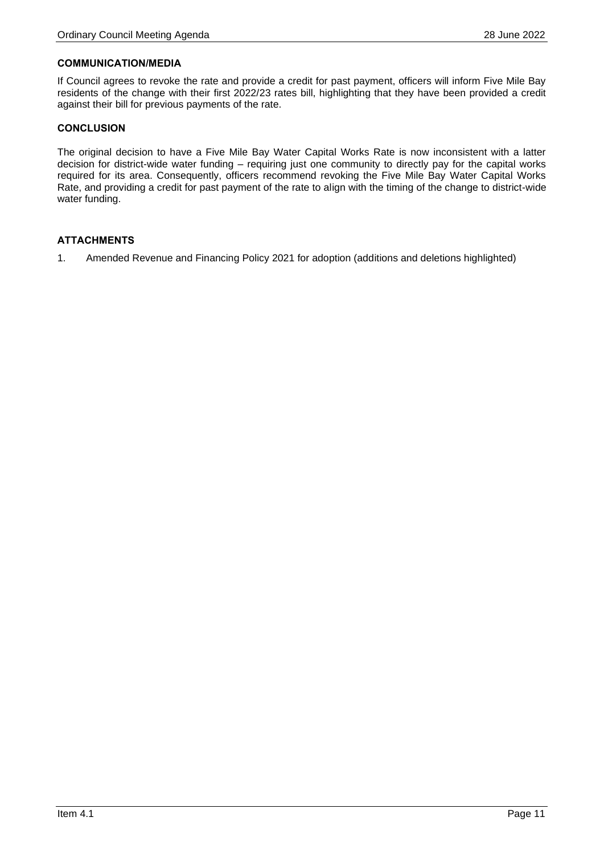#### **COMMUNICATION/MEDIA**

If Council agrees to revoke the rate and provide a credit for past payment, officers will inform Five Mile Bay residents of the change with their first 2022/23 rates bill, highlighting that they have been provided a credit against their bill for previous payments of the rate.

#### **CONCLUSION**

The original decision to have a Five Mile Bay Water Capital Works Rate is now inconsistent with a latter decision for district-wide water funding – requiring just one community to directly pay for the capital works required for its area. Consequently, officers recommend revoking the Five Mile Bay Water Capital Works Rate, and providing a credit for past payment of the rate to align with the timing of the change to district-wide water funding.

#### **ATTACHMENTS**

1. Amended Revenue and Financing Policy 2021 for adoption (additions and deletions highlighted)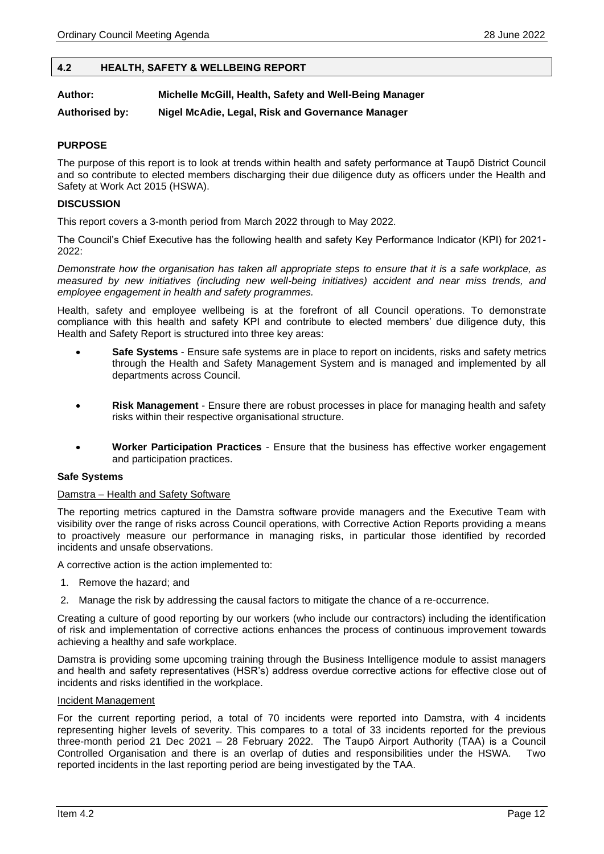#### <span id="page-11-0"></span>**4.2 HEALTH, SAFETY & WELLBEING REPORT**

#### **Author: Michelle McGill, Health, Safety and Well-Being Manager**

**Authorised by: Nigel McAdie, Legal, Risk and Governance Manager**

#### **PURPOSE**

The purpose of this report is to look at trends within health and safety performance at Taupō District Council and so contribute to elected members discharging their due diligence duty as officers under the Health and Safety at Work Act 2015 (HSWA).

#### **DISCUSSION**

This report covers a 3-month period from March 2022 through to May 2022.

The Council's Chief Executive has the following health and safety Key Performance Indicator (KPI) for 2021- 2022:

*Demonstrate how the organisation has taken all appropriate steps to ensure that it is a safe workplace, as measured by new initiatives (including new well-being initiatives) accident and near miss trends, and employee engagement in health and safety programmes.*

Health, safety and employee wellbeing is at the forefront of all Council operations. To demonstrate compliance with this health and safety KPI and contribute to elected members' due diligence duty, this Health and Safety Report is structured into three key areas:

- **Safe Systems** Ensure safe systems are in place to report on incidents, risks and safety metrics through the Health and Safety Management System and is managed and implemented by all departments across Council.
- **Risk Management** Ensure there are robust processes in place for managing health and safety risks within their respective organisational structure.
- **Worker Participation Practices** Ensure that the business has effective worker engagement and participation practices.

#### **Safe Systems**

#### Damstra – Health and Safety Software

The reporting metrics captured in the Damstra software provide managers and the Executive Team with visibility over the range of risks across Council operations, with Corrective Action Reports providing a means to proactively measure our performance in managing risks, in particular those identified by recorded incidents and unsafe observations.

A corrective action is the action implemented to:

- 1. Remove the hazard; and
- 2. Manage the risk by addressing the causal factors to mitigate the chance of a re-occurrence.

Creating a culture of good reporting by our workers (who include our contractors) including the identification of risk and implementation of corrective actions enhances the process of continuous improvement towards achieving a healthy and safe workplace.

Damstra is providing some upcoming training through the Business Intelligence module to assist managers and health and safety representatives (HSR's) address overdue corrective actions for effective close out of incidents and risks identified in the workplace.

#### Incident Management

For the current reporting period, a total of 70 incidents were reported into Damstra, with 4 incidents representing higher levels of severity. This compares to a total of 33 incidents reported for the previous three-month period 21 Dec 2021 – 28 February 2022. The Taupō Airport Authority (TAA) is a Council Controlled Organisation and there is an overlap of duties and responsibilities under the HSWA. Two reported incidents in the last reporting period are being investigated by the TAA.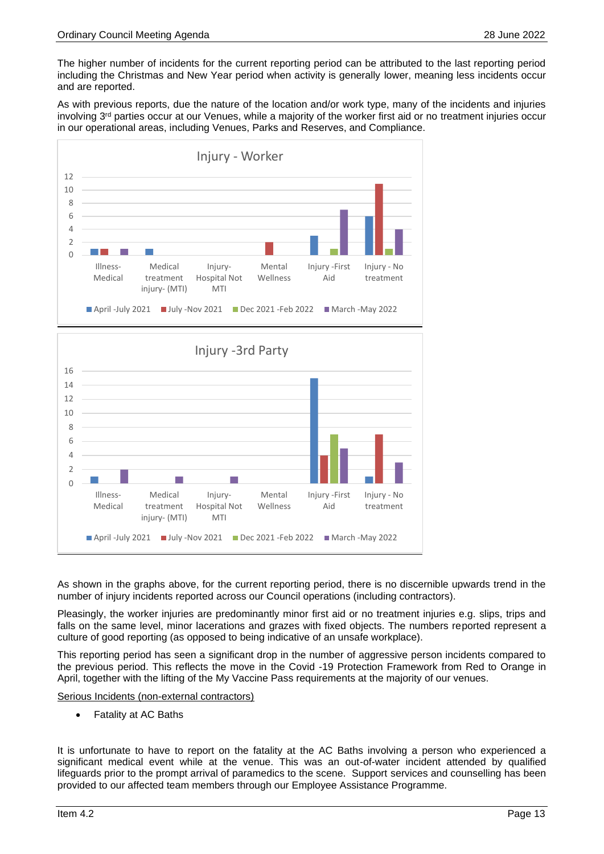The higher number of incidents for the current reporting period can be attributed to the last reporting period including the Christmas and New Year period when activity is generally lower, meaning less incidents occur and are reported.

As with previous reports, due the nature of the location and/or work type, many of the incidents and injuries involving 3<sup>rd</sup> parties occur at our Venues, while a majority of the worker first aid or no treatment injuries occur in our operational areas, including Venues, Parks and Reserves, and Compliance.





As shown in the graphs above, for the current reporting period, there is no discernible upwards trend in the number of injury incidents reported across our Council operations (including contractors).

Pleasingly, the worker injuries are predominantly minor first aid or no treatment injuries e.g. slips, trips and falls on the same level, minor lacerations and grazes with fixed objects. The numbers reported represent a culture of good reporting (as opposed to being indicative of an unsafe workplace).

This reporting period has seen a significant drop in the number of aggressive person incidents compared to the previous period. This reflects the move in the Covid -19 Protection Framework from Red to Orange in April, together with the lifting of the My Vaccine Pass requirements at the majority of our venues.

Serious Incidents (non-external contractors)

• Fatality at AC Baths

It is unfortunate to have to report on the fatality at the AC Baths involving a person who experienced a significant medical event while at the venue. This was an out-of-water incident attended by qualified lifeguards prior to the prompt arrival of paramedics to the scene. Support services and counselling has been provided to our affected team members through our Employee Assistance Programme.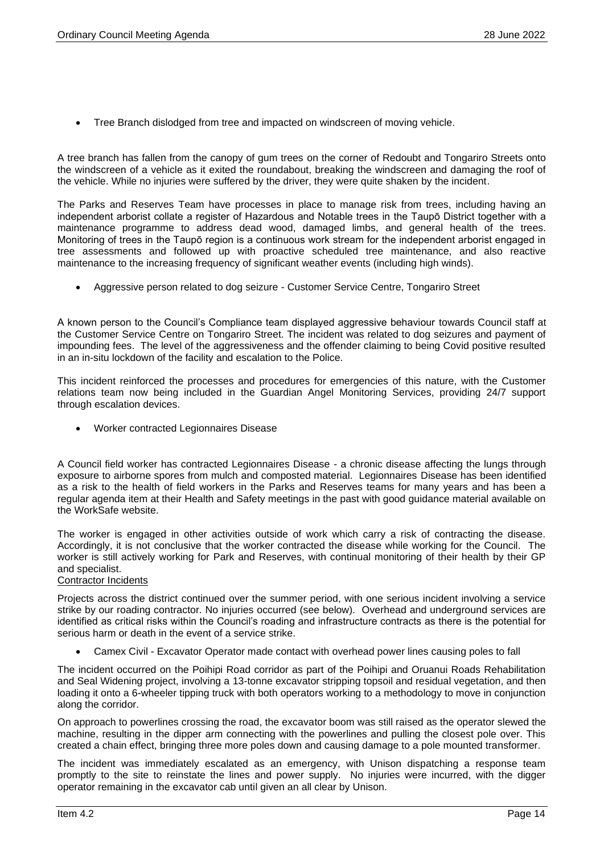• Tree Branch dislodged from tree and impacted on windscreen of moving vehicle.

A tree branch has fallen from the canopy of gum trees on the corner of Redoubt and Tongariro Streets onto the windscreen of a vehicle as it exited the roundabout, breaking the windscreen and damaging the roof of the vehicle. While no injuries were suffered by the driver, they were quite shaken by the incident.

The Parks and Reserves Team have processes in place to manage risk from trees, including having an independent arborist collate a register of Hazardous and Notable trees in the Taupō District together with a maintenance programme to address dead wood, damaged limbs, and general health of the trees. Monitoring of trees in the Taupō region is a continuous work stream for the independent arborist engaged in tree assessments and followed up with proactive scheduled tree maintenance, and also reactive maintenance to the increasing frequency of significant weather events (including high winds).

• Aggressive person related to dog seizure - Customer Service Centre, Tongariro Street

A known person to the Council's Compliance team displayed aggressive behaviour towards Council staff at the Customer Service Centre on Tongariro Street. The incident was related to dog seizures and payment of impounding fees. The level of the aggressiveness and the offender claiming to being Covid positive resulted in an in-situ lockdown of the facility and escalation to the Police.

This incident reinforced the processes and procedures for emergencies of this nature, with the Customer relations team now being included in the Guardian Angel Monitoring Services, providing 24/7 support through escalation devices.

• Worker contracted Legionnaires Disease

A Council field worker has contracted Legionnaires Disease - a chronic disease affecting the lungs through exposure to airborne spores from mulch and composted material. Legionnaires Disease has been identified as a risk to the health of field workers in the Parks and Reserves teams for many years and has been a regular agenda item at their Health and Safety meetings in the past with good guidance material available on the WorkSafe website.

The worker is engaged in other activities outside of work which carry a risk of contracting the disease. Accordingly, it is not conclusive that the worker contracted the disease while working for the Council. The worker is still actively working for Park and Reserves, with continual monitoring of their health by their GP and specialist.

#### Contractor Incidents

Projects across the district continued over the summer period, with one serious incident involving a service strike by our roading contractor. No injuries occurred (see below). Overhead and underground services are identified as critical risks within the Council's roading and infrastructure contracts as there is the potential for serious harm or death in the event of a service strike.

• Camex Civil - Excavator Operator made contact with overhead power lines causing poles to fall

The incident occurred on the Poihipi Road corridor as part of the Poihipi and Oruanui Roads Rehabilitation and Seal Widening project, involving a 13-tonne excavator stripping topsoil and residual vegetation, and then loading it onto a 6-wheeler tipping truck with both operators working to a methodology to move in conjunction along the corridor.

On approach to powerlines crossing the road, the excavator boom was still raised as the operator slewed the machine, resulting in the dipper arm connecting with the powerlines and pulling the closest pole over. This created a chain effect, bringing three more poles down and causing damage to a pole mounted transformer.

The incident was immediately escalated as an emergency, with Unison dispatching a response team promptly to the site to reinstate the lines and power supply. No injuries were incurred, with the digger operator remaining in the excavator cab until given an all clear by Unison.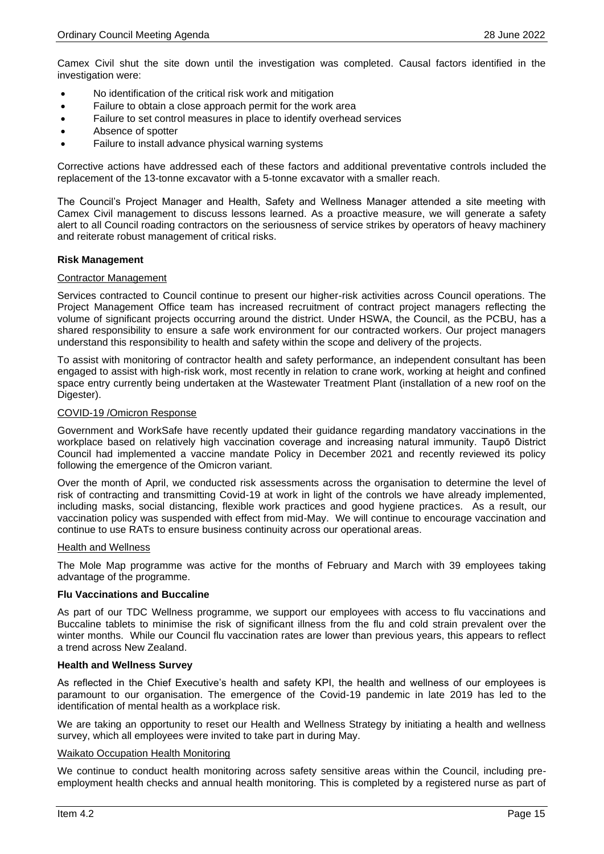Camex Civil shut the site down until the investigation was completed. Causal factors identified in the investigation were:

- No identification of the critical risk work and mitigation
- Failure to obtain a close approach permit for the work area
- Failure to set control measures in place to identify overhead services
- Absence of spotter
- Failure to install advance physical warning systems

Corrective actions have addressed each of these factors and additional preventative controls included the replacement of the 13-tonne excavator with a 5-tonne excavator with a smaller reach.

The Council's Project Manager and Health, Safety and Wellness Manager attended a site meeting with Camex Civil management to discuss lessons learned. As a proactive measure, we will generate a safety alert to all Council roading contractors on the seriousness of service strikes by operators of heavy machinery and reiterate robust management of critical risks.

#### **Risk Management**

#### Contractor Management

Services contracted to Council continue to present our higher-risk activities across Council operations. The Project Management Office team has increased recruitment of contract project managers reflecting the volume of significant projects occurring around the district. Under HSWA, the Council, as the PCBU, has a shared responsibility to ensure a safe work environment for our contracted workers. Our project managers understand this responsibility to health and safety within the scope and delivery of the projects.

To assist with monitoring of contractor health and safety performance, an independent consultant has been engaged to assist with high-risk work, most recently in relation to crane work, working at height and confined space entry currently being undertaken at the Wastewater Treatment Plant (installation of a new roof on the Digester).

#### COVID-19 /Omicron Response

Government and WorkSafe have recently updated their guidance regarding mandatory vaccinations in the workplace based on relatively high vaccination coverage and increasing natural immunity. Taupō District Council had implemented a vaccine mandate Policy in December 2021 and recently reviewed its policy following the emergence of the Omicron variant.

Over the month of April, we conducted risk assessments across the organisation to determine the level of risk of contracting and transmitting Covid-19 at work in light of the controls we have already implemented, including masks, social distancing, flexible work practices and good hygiene practices. As a result, our vaccination policy was suspended with effect from mid-May. We will continue to encourage vaccination and continue to use RATs to ensure business continuity across our operational areas.

#### Health and Wellness

The Mole Map programme was active for the months of February and March with 39 employees taking advantage of the programme.

#### **Flu Vaccinations and Buccaline**

As part of our TDC Wellness programme, we support our employees with access to flu vaccinations and Buccaline tablets to minimise the risk of significant illness from the flu and cold strain prevalent over the winter months. While our Council flu vaccination rates are lower than previous years, this appears to reflect a trend across New Zealand.

#### **Health and Wellness Survey**

As reflected in the Chief Executive's health and safety KPI, the health and wellness of our employees is paramount to our organisation. The emergence of the Covid-19 pandemic in late 2019 has led to the identification of mental health as a workplace risk.

We are taking an opportunity to reset our Health and Wellness Strategy by initiating a health and wellness survey, which all employees were invited to take part in during May.

#### Waikato Occupation Health Monitoring

We continue to conduct health monitoring across safety sensitive areas within the Council, including preemployment health checks and annual health monitoring. This is completed by a registered nurse as part of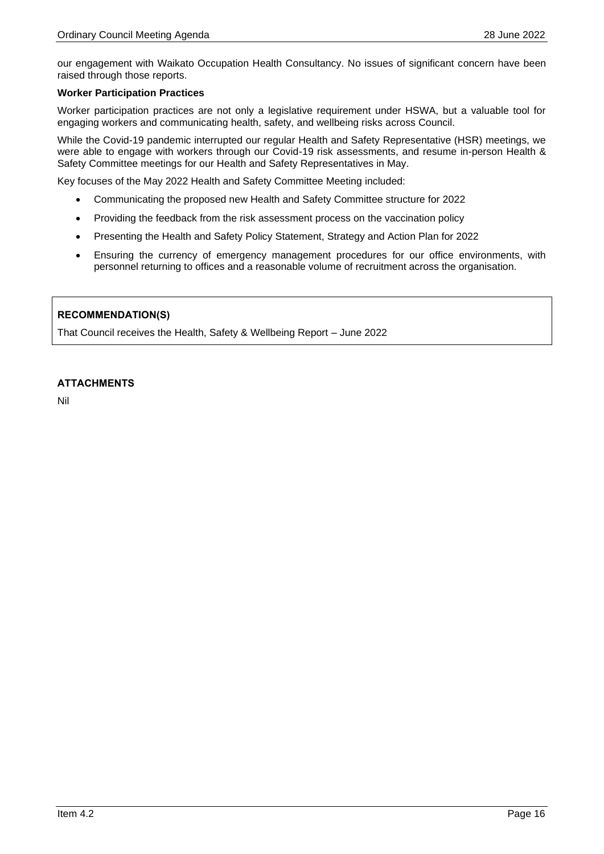our engagement with Waikato Occupation Health Consultancy. No issues of significant concern have been raised through those reports.

#### **Worker Participation Practices**

Worker participation practices are not only a legislative requirement under HSWA, but a valuable tool for engaging workers and communicating health, safety, and wellbeing risks across Council.

While the Covid-19 pandemic interrupted our regular Health and Safety Representative (HSR) meetings, we were able to engage with workers through our Covid-19 risk assessments, and resume in-person Health & Safety Committee meetings for our Health and Safety Representatives in May.

Key focuses of the May 2022 Health and Safety Committee Meeting included:

- Communicating the proposed new Health and Safety Committee structure for 2022
- Providing the feedback from the risk assessment process on the vaccination policy
- Presenting the Health and Safety Policy Statement, Strategy and Action Plan for 2022
- Ensuring the currency of emergency management procedures for our office environments, with personnel returning to offices and a reasonable volume of recruitment across the organisation.

#### **RECOMMENDATION(S)**

That Council receives the Health, Safety & Wellbeing Report – June 2022

#### **ATTACHMENTS**

Nil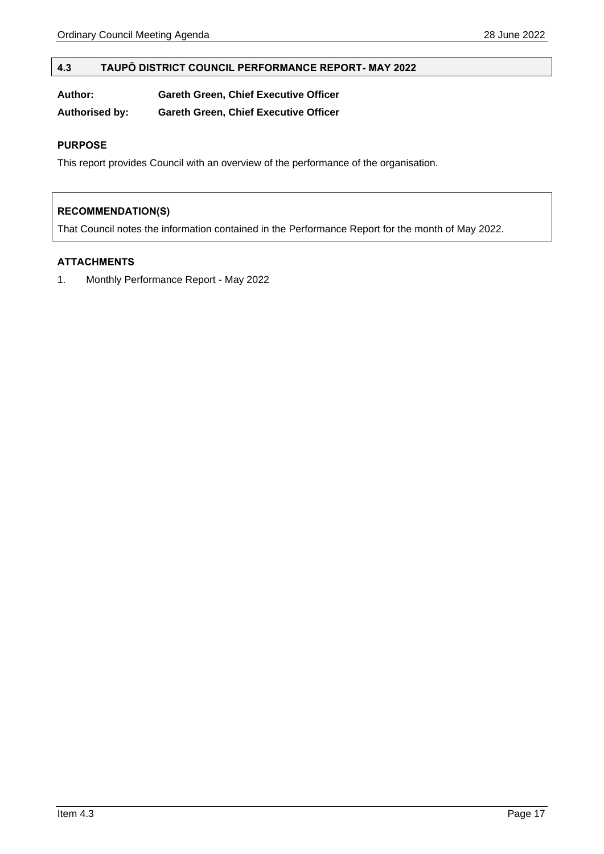#### <span id="page-16-0"></span>**4.3 TAUPŌ DISTRICT COUNCIL PERFORMANCE REPORT- MAY 2022**

| Author: | <b>Gareth Green, Chief Executive Officer</b> |
|---------|----------------------------------------------|
|         |                                              |

**Authorised by: Gareth Green, Chief Executive Officer**

#### **PURPOSE**

This report provides Council with an overview of the performance of the organisation.

#### **RECOMMENDATION(S)**

That Council notes the information contained in the Performance Report for the month of May 2022.

#### **ATTACHMENTS**

1. Monthly Performance Report - May 2022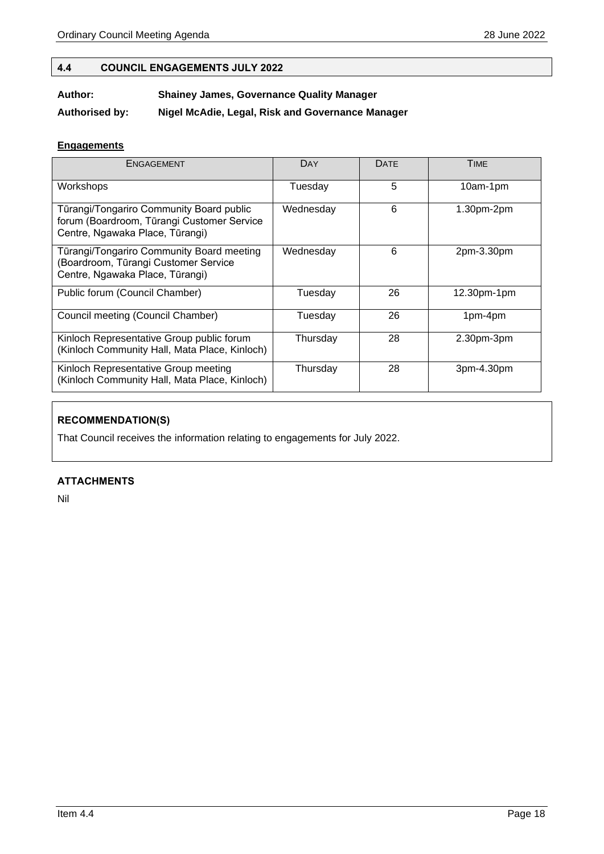#### <span id="page-17-0"></span>**4.4 COUNCIL ENGAGEMENTS JULY 2022**

#### **Author: Shainey James, Governance Quality Manager**

**Authorised by: Nigel McAdie, Legal, Risk and Governance Manager**

#### **Engagements**

| ENGAGEMENT                                                                                                                | DAY       | <b>DATE</b> | <b>TIME</b>    |
|---------------------------------------------------------------------------------------------------------------------------|-----------|-------------|----------------|
| Workshops                                                                                                                 | Tuesdav   | 5           | 10am-1pm       |
| Tūrangi/Tongariro Community Board public<br>forum (Boardroom, Tūrangi Customer Service<br>Centre, Ngawaka Place, Tūrangi) | Wednesday | 6           | 1.30pm-2pm     |
| Tūrangi/Tongariro Community Board meeting<br>(Boardroom, Tūrangi Customer Service<br>Centre, Ngawaka Place, Tūrangi)      | Wednesday | 6           | 2pm-3.30pm     |
| Public forum (Council Chamber)                                                                                            | Tuesday   | 26          | $12.30pm-1$ pm |
| Council meeting (Council Chamber)                                                                                         | Tuesdav   | 26          | 1pm-4pm        |
| Kinloch Representative Group public forum<br>(Kinloch Community Hall, Mata Place, Kinloch)                                | Thursday  | 28          | $2.30pm-3pm$   |
| Kinloch Representative Group meeting<br>(Kinloch Community Hall, Mata Place, Kinloch)                                     | Thursday  | 28          | 3pm-4.30pm     |

### **RECOMMENDATION(S)**

That Council receives the information relating to engagements for July 2022.

#### **ATTACHMENTS**

Nil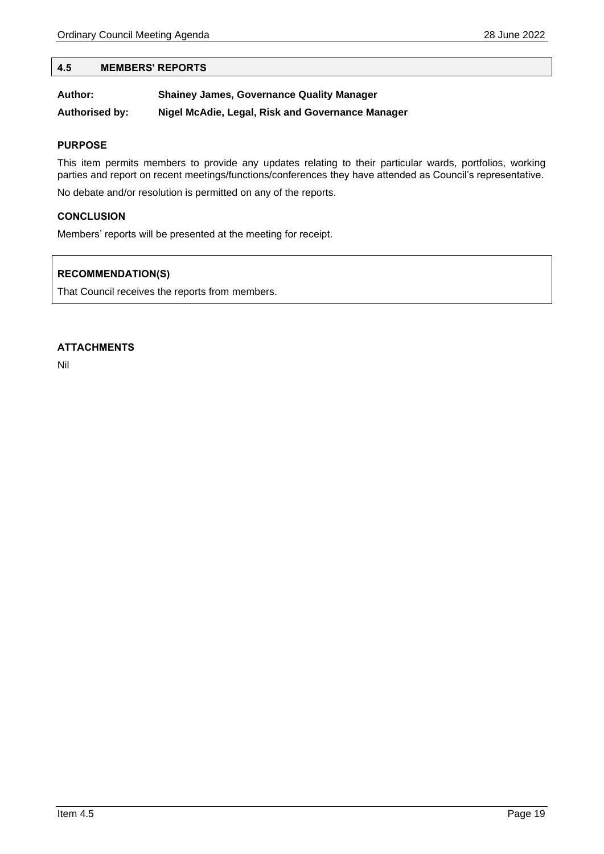#### <span id="page-18-0"></span>**4.5 MEMBERS' REPORTS**

| Author:               | <b>Shainey James, Governance Quality Manager</b> |
|-----------------------|--------------------------------------------------|
| <b>Authorised by:</b> | Nigel McAdie, Legal, Risk and Governance Manager |

#### **PURPOSE**

This item permits members to provide any updates relating to their particular wards, portfolios, working parties and report on recent meetings/functions/conferences they have attended as Council's representative.

No debate and/or resolution is permitted on any of the reports.

#### **CONCLUSION**

Members' reports will be presented at the meeting for receipt.

#### **RECOMMENDATION(S)**

That Council receives the reports from members.

#### **ATTACHMENTS**

Nil